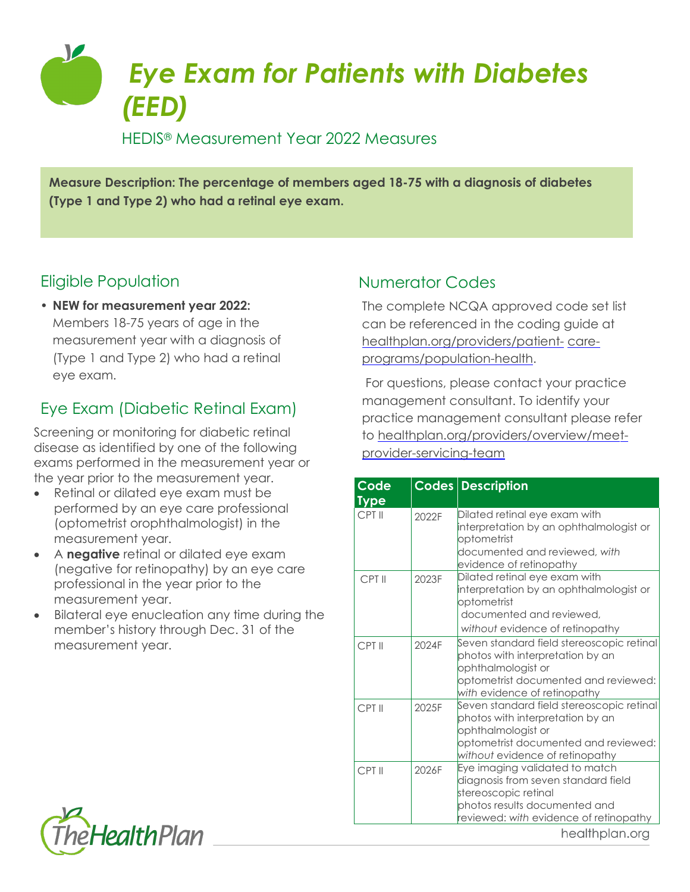

### HEDIS® Measurement Year 2022 Measures

**Measure Description: The percentage of members aged 18-75 with a diagnosis of diabetes (Type 1 and Type 2) who had a retinal eye exam.**

# Eligible Population

• **NEW for measurement year 2022:** Members 18-75 years of age in the measurement year with a diagnosis of (Type 1 and Type 2) who had a retinal eye exam.

# Eye Exam (Diabetic Retinal Exam)

Screening or monitoring for diabetic retinal disease as identified by one of the following exams performed in the measurement year or the year prior to the measurement year.

- Retinal or dilated eye exam must be performed by an eye care professional (optometrist orophthalmologist) in the measurement year.
- A **negative** retinal or dilated eye exam (negative for retinopathy) by an eye care professional in the year prior to the measurement year.
- Bilateral eye enucleation any time during the member's history through Dec. 31 of the measurement year.

# Numerator Codes

The complete NCQA approved code set list can be referenced in the coding guide at [healthplan.org/providers/patient-](https://www.healthplan.org/providers/patient-care-programs/population-health) [care](https://www.healthplan.org/providers/patient-care-programs/population-health)[programs/population-health.](https://www.healthplan.org/providers/patient-care-programs/population-health)

For questions, please contact your practice management consultant. To identify your practice management consultant please refer to [healthplan.org/providers/overview/meet](https://healthplan.org/providers/overview/meet-provider-servicing-team)[provider-servicing-team](https://healthplan.org/providers/overview/meet-provider-servicing-team)

| Code                  |       | Codes Description                                                                                                                                                              |
|-----------------------|-------|--------------------------------------------------------------------------------------------------------------------------------------------------------------------------------|
| <b>Type</b><br>CPT II | 2022F | Dilated retinal eye exam with<br>interpretation by an ophthalmologist or<br>optometrist<br>documented and reviewed, with<br>evidence of retinopathy                            |
| CPT II                | 2023F | Dilated retinal eye exam with<br>interpretation by an ophthalmologist or<br>optometrist<br>documented and reviewed.<br>without evidence of retinopathy                         |
| CPT II                | 2024F | Seven standard field stereoscopic retinal<br>photos with interpretation by an<br>ophthalmologist or<br>optometrist documented and reviewed:<br>with evidence of retinopathy    |
| CPT II                | 2025F | Seven standard field stereoscopic retinal<br>photos with interpretation by an<br>ophthalmologist or<br>optometrist documented and reviewed:<br>without evidence of retinopathy |
| CPT II                | 2026F | Eye imaging validated to match<br>diagnosis from seven standard field<br>stereoscopic retinal<br>photos results documented and<br>reviewed: with evidence of retinopathy       |
|                       |       | healthplan.org                                                                                                                                                                 |